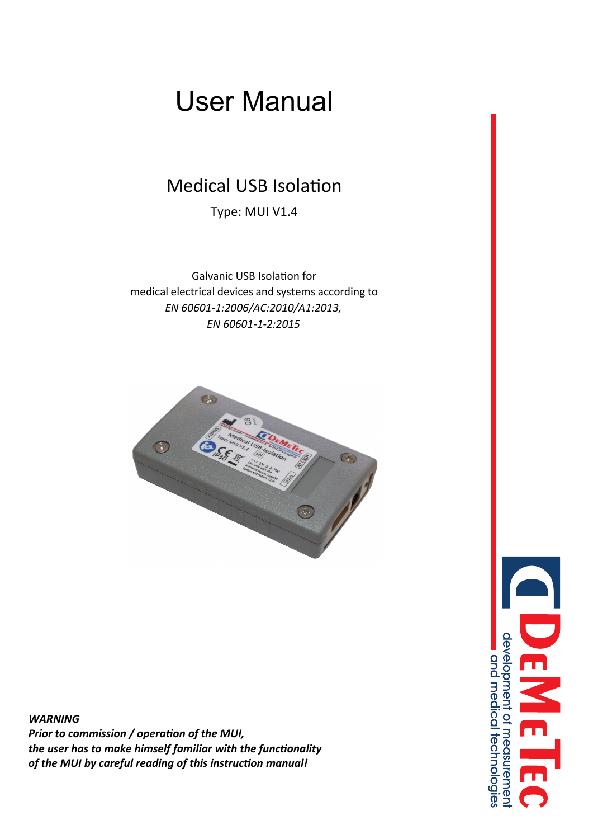# User Manual

## Medical USB Isolation

Type: MUI V1.4

Galvanic USB Isolation for medical electrical devices and systems according to *EN 60601-1:2006/AC:2010/A1:2013, EN 60601-1-2:2015*



*WARNING Prior to commission / operation of the MUI, the user has to make himself familiar with the functionality of the MUI by careful reading of this instruction manual!*

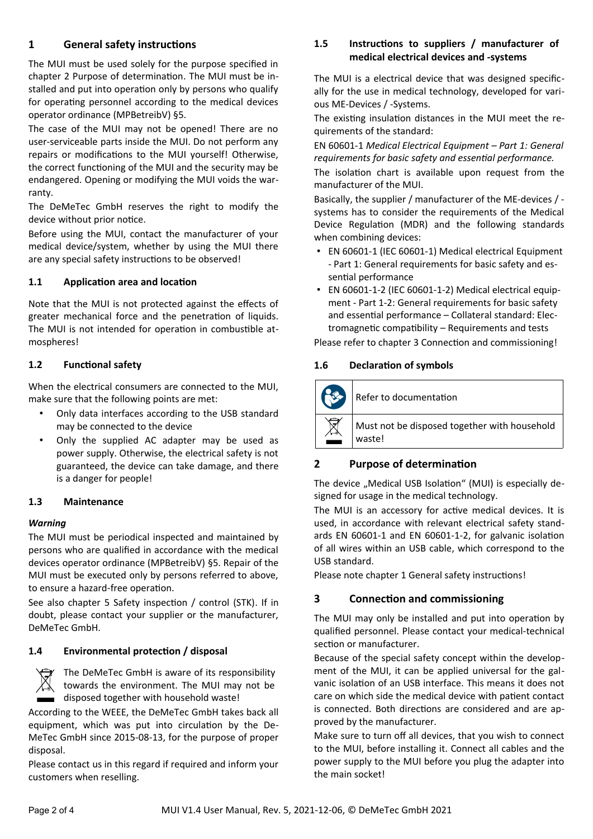#### <span id="page-1-1"></span>**1 General safety instructions**

The MUI must be used solely for the purpose specified in chapter [2](#page-1-0) [Purpose of determination](#page-1-0). The MUI must be installed and put into operation only by persons who qualify for operating personnel according to the medical devices operator ordinance (MPBetreibV) §5.

The case of the MUI may not be opened! There are no user-serviceable parts inside the MUI. Do not perform any repairs or modifications to the MUI yourself! Otherwise, the correct functioning of the MUI and the security may be endangered. Opening or modifying the MUI voids the warranty.

The DeMeTec GmbH reserves the right to modify the device without prior notice.

Before using the MUI, contact the manufacturer of your medical device/system, whether by using the MUI there are any special safety instructions to be observed!

#### **1.1 Application area and location**

Note that the MUI is not protected against the effects of greater mechanical force and the penetration of liquids. The MUI is not intended for operation in combustible atmospheres!

#### <span id="page-1-3"></span>**1.2 Functional safety**

When the electrical consumers are connected to the MUI, make sure that the following points are met:

- Only data interfaces according to the USB standard may be connected to the device
- Only the supplied AC adapter may be used as power supply. Otherwise, the electrical safety is not guaranteed, the device can take damage, and there is a danger for people!

#### **1.3 Maintenance**

#### *Warning*

The MUI must be periodical inspected and maintained by persons who are qualified in accordance with the medical devices operator ordinance (MPBetreibV) §5. Repair of the MUI must be executed only by persons referred to above, to ensure a hazard-free operation.

See also chapter [5](#page-2-0) [Safety inspection / control \(STK\)](#page-2-0). If in doubt, please contact your supplier or the manufacturer, DeMeTec GmbH.

#### **1.4 Environmental protection / disposal**

The DeMeTec GmbH is aware of its responsibility towards the environment. The MUI may not be disposed together with household waste!

According to the WEEE, the DeMeTec GmbH takes back all equipment, which was put into circulation by the De-MeTec GmbH since 2015-08-13, for the purpose of proper disposal.

Please contact us in this regard if required and inform your customers when reselling.

#### **1.5 Instructions to suppliers / manufacturer of medical electrical devices and -systems**

The MUI is a electrical device that was designed specifically for the use in medical technology, developed for various ME-Devices / -Systems.

The existing insulation distances in the MUI meet the requirements of the standard:

EN 60601-1 *Medical Electrical Equipment – Part 1: General requirements for basic safety and essential performance.*

The isolation chart is available upon request from the manufacturer of the MUI.

Basically, the supplier / manufacturer of the ME-devices / systems has to consider the requirements of the Medical Device Regulation (MDR) and the following standards when combining devices:

- EN 60601-1 (IEC 60601-1) Medical electrical Equipment - Part 1: General requirements for basic safety and essential performance
- EN 60601-1-2 (IEC 60601-1-2) Medical electrical equipment - Part 1-2: General requirements for basic safety and essential performance – Collateral standard: Electromagnetic compatibility – Requirements and tests

Please refer to chapter [3](#page-1-2) [Connection and commissioning](#page-1-2)!

#### **1.6 Declaration of symbols**



#### <span id="page-1-0"></span>**2 Purpose of determination**

The device "Medical USB Isolation" (MUI) is especially designed for usage in the medical technology.

The MUI is an accessory for active medical devices. It is used, in accordance with relevant electrical safety standards EN 60601-1 and EN 60601-1-2, for galvanic isolation of all wires within an USB cable, which correspond to the USB standard.

Please note chapter [1](#page-1-1) [General safety instructions!](#page-1-1)

#### <span id="page-1-2"></span>**3 Connection and commissioning**

The MUI may only be installed and put into operation by qualified personnel. Please contact your medical-technical section or manufacturer.

Because of the special safety concept within the development of the MUI, it can be applied universal for the galvanic isolation of an USB interface. This means it does not care on which side the medical device with patient contact is connected. Both directions are considered and are approved by the manufacturer.

Make sure to turn off all devices, that you wish to connect to the MUI, before installing it. Connect all cables and the power supply to the MUI before you plug the adapter into the main socket!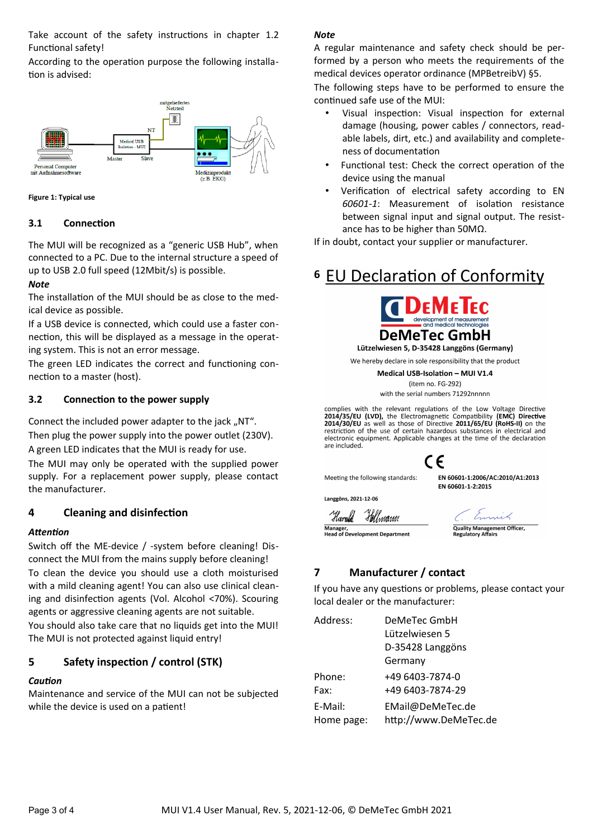Take account of the safety instructions in chapter [1.2](#page-1-3) [Functional safety](#page-1-3)!

According to the operation purpose the following installation is advised:



**Figure 1: Typical use**

#### **3.1 Connection**

The MUI will be recognized as a "generic USB Hub", when connected to a PC. Due to the internal structure a speed of up to USB 2.0 full speed (12Mbit/s) is possible.

#### *Note*

The installation of the MUI should be as close to the medical device as possible.

If a USB device is connected, which could use a faster connection, this will be displayed as a message in the operating system. This is not an error message.

The green LED indicates the correct and functioning connection to a master (host).

#### **3.2 Connection to the power supply**

Connect the included power adapter to the jack ..NT". Then plug the power supply into the power outlet (230V). A green LED indicates that the MUI is ready for use.

The MUI may only be operated with the supplied power supply. For a replacement power supply, please contact the manufacturer.

#### **4 Cleaning and disinfection**

#### *Attention*

Switch off the ME-device / -system before cleaning! Disconnect the MUI from the mains supply before cleaning! To clean the device you should use a cloth moisturised with a mild cleaning agent! You can also use clinical cleaning and disinfection agents (Vol. Alcohol <70%). Scouring agents or aggressive cleaning agents are not suitable. You should also take care that no liquids get into the MUI! The MUI is not protected against liquid entry!

#### <span id="page-2-0"></span>**5 Safety inspection / control (STK)**

#### *Caution*

Maintenance and service of the MUI can not be subjected while the device is used on a patient!

#### *Note*

A regular maintenance and safety check should be performed by a person who meets the requirements of the medical devices operator ordinance (MPBetreibV) §5.

The following steps have to be performed to ensure the continued safe use of the MUI:

- Visual inspection: Visual inspection for external damage (housing, power cables / connectors, readable labels, dirt, etc.) and availability and completeness of documentation
- Functional test: Check the correct operation of the device using the manual
- Verification of electrical safety according to EN *60601-1*: Measurement of isolation resistance between signal input and signal output. The resistance has to be higher than 50MΩ.

If in doubt, contact your supplier or manufacturer.

### **6 EU Declaration of Conformity**



We hereby declare in sole responsibility that the product Medical USB-Isolation - MUI V1.4

(item no. FG-292) with the serial numbers 71292nnnnn

complies with the relevant regulations of the Low Voltage Directive **2014/35/EU (LVD), the Electromagnetic Compatibility (EMC) Directive**<br>**2014/35/EU (LVD), the Electromagnetic Compatibility (EMC) Directive** restriction of the use of certain hazardous substances in electrical and

EN 60601-1:2006/AC:2010/A1:2013

EN 60601-1-2:2015

electronic equipment. Applicable changes at the time of the declaration are included. CE

Meeting the following standards:

Langgöns, 2021-12-06

Harold Hellmann Manager,<br>Head of Development Department

**Quality Mar** uality Managem<br>egulatory Affairs

#### **7 Manufacturer / contact**

If you have any questions or problems, please contact your local dealer or the manufacturer:

| DeMeTec GmbH<br>Lützelwiesen 5<br>D-35428 Langgöns |
|----------------------------------------------------|
| Germany                                            |
| +49 6403-7874-0                                    |
| +49 6403-7874-29                                   |
| EMail@DeMeTec.de<br>http://www.DeMeTec.de          |
|                                                    |